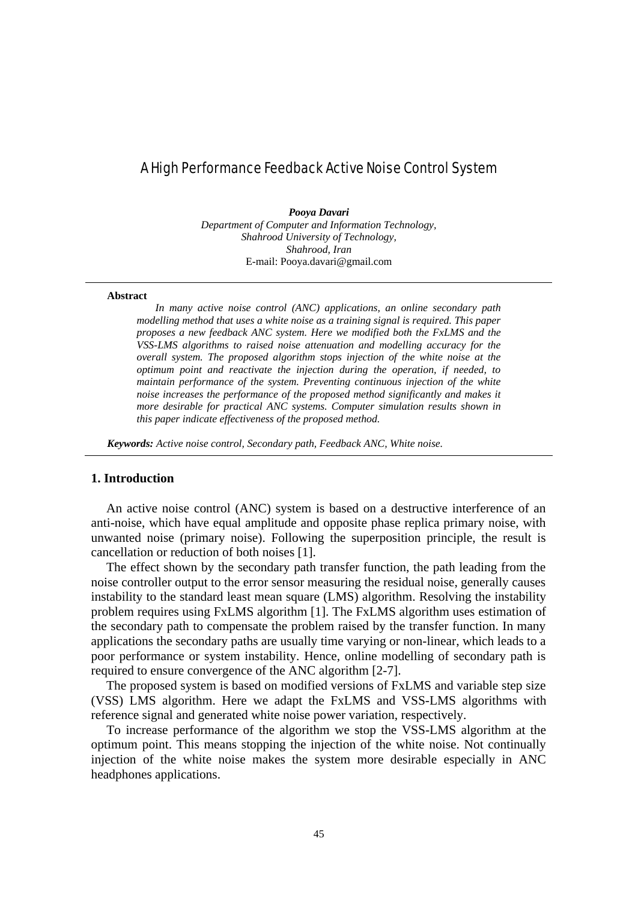# A High Performance Feedback Active Noise Control System

*Pooya Davari Department of Computer and Information Technology,* 

> *Shahrood University of Technology, Shahrood, Iran*  E-mail: Pooya.davari@gmail.com

#### **Abstract**

*In many active noise control (ANC) applications, an online secondary path modelling method that uses a white noise as a training signal is required. This paper proposes a new feedback ANC system. Here we modified both the FxLMS and the VSS-LMS algorithms to raised noise attenuation and modelling accuracy for the overall system. The proposed algorithm stops injection of the white noise at the optimum point and reactivate the injection during the operation, if needed, to maintain performance of the system. Preventing continuous injection of the white noise increases the performance of the proposed method significantly and makes it more desirable for practical ANC systems. Computer simulation results shown in this paper indicate effectiveness of the proposed method.* 

*Keywords: Active noise control, Secondary path, Feedback ANC, White noise.* 

# **1. Introduction**

An active noise control (ANC) system is based on a destructive interference of an anti-noise, which have equal amplitude and opposite phase replica primary noise, with unwanted noise (primary noise). Following the superposition principle, the result is cancellation or reduction of both noises [1].

The effect shown by the secondary path transfer function, the path leading from the noise controller output to the error sensor measuring the residual noise, generally causes instability to the standard least mean square (LMS) algorithm. Resolving the instability problem requires using FxLMS algorithm [1]. The FxLMS algorithm uses estimation of the secondary path to compensate the problem raised by the transfer function. In many applications the secondary paths are usually time varying or non-linear, which leads to a poor performance or system instability. Hence, online modelling of secondary path is required to ensure convergence of the ANC algorithm [2-7].

The proposed system is based on modified versions of FxLMS and variable step size (VSS) LMS algorithm. Here we adapt the FxLMS and VSS-LMS algorithms with reference signal and generated white noise power variation, respectively.

To increase performance of the algorithm we stop the VSS-LMS algorithm at the optimum point. This means stopping the injection of the white noise. Not continually injection of the white noise makes the system more desirable especially in ANC headphones applications.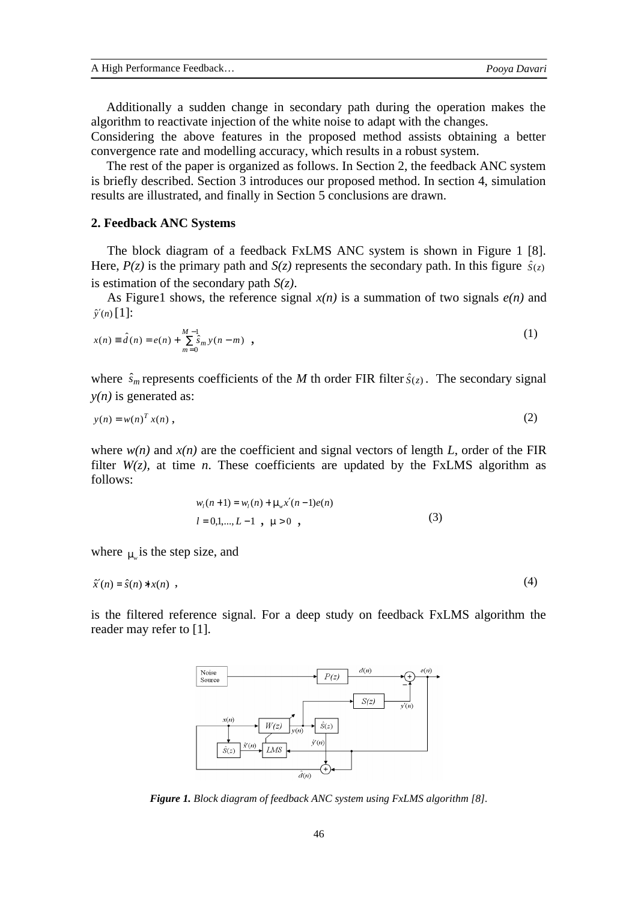Additionally a sudden change in secondary path during the operation makes the algorithm to reactivate injection of the white noise to adapt with the changes.

Considering the above features in the proposed method assists obtaining a better convergence rate and modelling accuracy, which results in a robust system.

The rest of the paper is organized as follows. In Section 2, the feedback ANC system is briefly described. Section 3 introduces our proposed method. In section 4, simulation results are illustrated, and finally in Section 5 conclusions are drawn.

#### **2. Feedback ANC Systems**

The block diagram of a feedback FxLMS ANC system is shown in Figure 1 [8]. Here,  $P(z)$  is the primary path and  $S(z)$  represents the secondary path. In this figure  $\hat{S}(z)$ is estimation of the secondary path *S(z)*.

As Figure1 shows, the reference signal  $x(n)$  is a summation of two signals  $e(n)$  and  $\hat{y}'(n)$  [1]:

$$
x(n) = \hat{d}(n) = e(n) + \sum_{m=0}^{M-1} \hat{s}_m y(n-m) , \qquad (1)
$$

where  $\hat{s}_m$  represents coefficients of the *M* th order FIR filter  $\hat{s}(z)$ . The secondary signal  $y(n)$  is generated as:

$$
y(n) = w(n)^T x(n) \tag{2}
$$

where  $w(n)$  and  $x(n)$  are the coefficient and signal vectors of length *L*, order of the FIR filter  $W(z)$ , at time *n*. These coefficients are updated by the FxLMS algorithm as follows:

$$
w_i(n+1) = w_i(n) + m_w x'(n-1)e(n)
$$
  
\n
$$
l = 0,1,...,L-1 , m > 0 ,
$$
 (3)

where  $m_{\nu}$  is the step size, and

$$
\hat{x}'(n) = \hat{s}(n) * x(n) \tag{4}
$$

is the filtered reference signal. For a deep study on feedback FxLMS algorithm the reader may refer to [1].



*Figure 1. Block diagram of feedback ANC system using FxLMS algorithm [8].*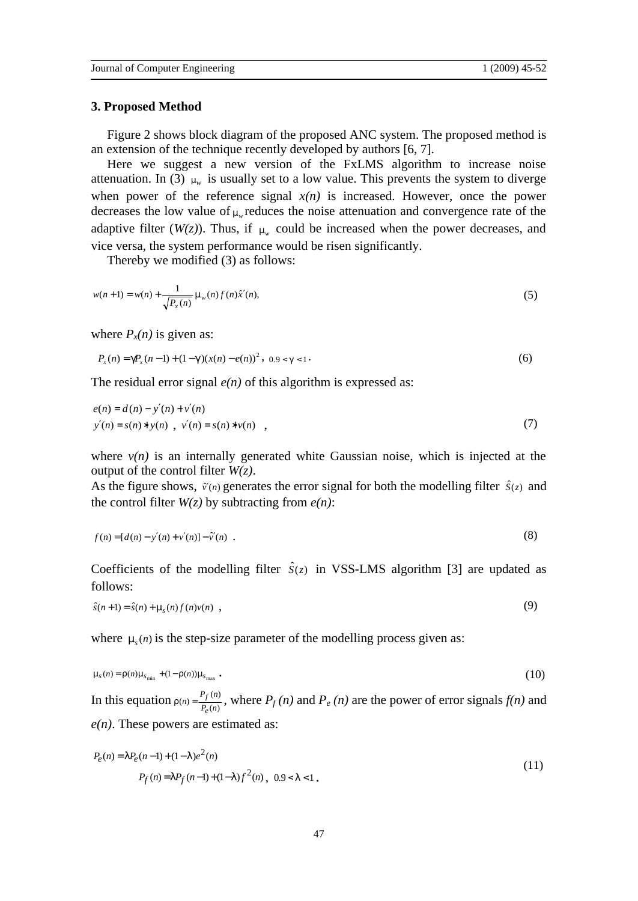#### **3. Proposed Method**

Figure 2 shows block diagram of the proposed ANC system. The proposed method is an extension of the technique recently developed by authors [6, 7].

Here we suggest a new version of the FxLMS algorithm to increase noise attenuation. In (3)  $m_w$  is usually set to a low value. This prevents the system to diverge when power of the reference signal  $x(n)$  is increased. However, once the power decreases the low value of *<sup>m</sup><sup>w</sup>* reduces the noise attenuation and convergence rate of the adaptive filter ( $W(z)$ ). Thus, if  $m_w$  could be increased when the power decreases, and vice versa, the system performance would be risen significantly.

Thereby we modified (3) as follows:

$$
w(n+1) = w(n) + \frac{1}{\sqrt{P_x(n)}} m_w(n) f(n) \hat{x}'(n),
$$
\n(5)

where  $P_x(n)$  is given as:

$$
P_x(n) = gP_x(n-1) + (1-g)(x(n) - e(n))^2, \quad 0.9 < g < 1. \tag{6}
$$

The residual error signal  $e(n)$  of this algorithm is expressed as:

$$
e(n) = d(n) - y'(n) + v'(n)
$$
  
y'(n) = s(n) \* y(n), v'(n) = s(n) \* v(n), (7)

where  $v(n)$  is an internally generated white Gaussian noise, which is injected at the output of the control filter *W(z)*.

As the figure shows,  $\hat{v}(n)$  generates the error signal for both the modelling filter  $\hat{s}(z)$  and the control filter  $W(z)$  by subtracting from  $e(n)$ :

$$
f(n) = [d(n) - y'(n) + v'(n)] - \hat{v}'(n) \tag{8}
$$

Coefficients of the modelling filter  $\hat{S}(z)$  in VSS-LMS algorithm [3] are updated as follows:

$$
\hat{s}(n+1) = \hat{s}(n) + \mathbf{m}_s(n) f(n) v(n) , \qquad (9)
$$

where  $m_s(n)$  is the step-size parameter of the modelling process given as:

$$
ms(n) = r(n)msmin + (1 - r(n))msmax
$$
 (10)

In this equation  $r(n) = \frac{P_f(n)}{P_e(n)}$  $(n) = \frac{P_f(n)}{P_e(n)}$  $p = \frac{P_f(n)}{P_f(n)}$ *e*  $r(n) = \frac{P_f(n)}{P_f(n)}$ , where  $P_f(n)$  and  $P_e(n)$  are the power of error signals  $f(n)$  and *e(n)*. These powers are estimated as:

$$
P_e(n) = IP_e(n-1) + (1-1)e^2(n)
$$
  
\n
$$
P_f(n) = IP_f(n-1) + (1-1)f^2(n), \quad 0.9 < l < 1.
$$
\n(11)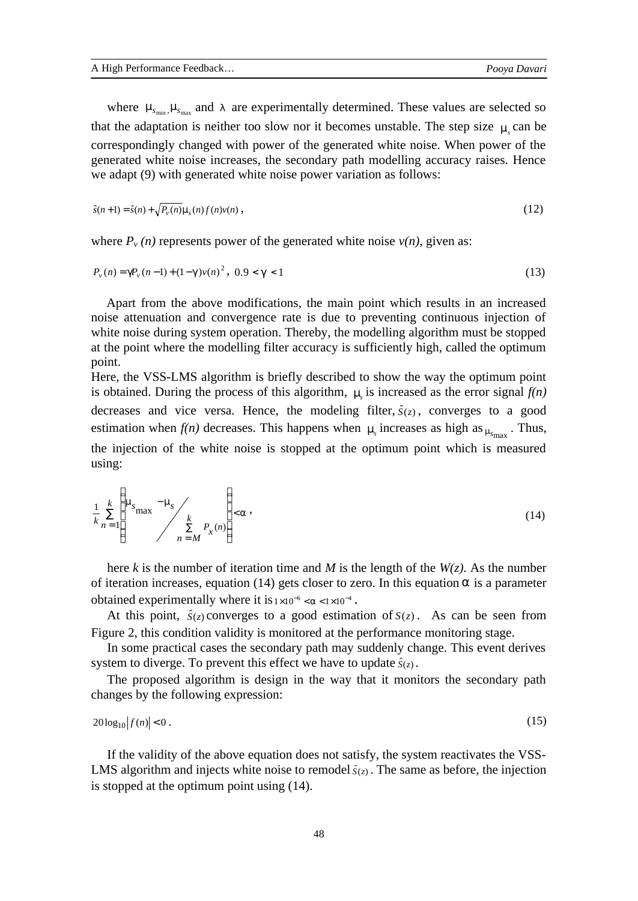where  $m_{s_{min}}$ ,  $m_{s_{max}}$  and *l* are experimentally determined. These values are selected so that the adaptation is neither too slow nor it becomes unstable. The step size  $m<sub>s</sub>$  can be correspondingly changed with power of the generated white noise. When power of the generated white noise increases, the secondary path modelling accuracy raises. Hence we adapt (9) with generated white noise power variation as follows:

$$
\hat{s}(n+1) = \hat{s}(n) + \sqrt{P_v(n)} \, m_s(n) \, f(n) v(n) \,,\tag{12}
$$

where  $P_\nu(n)$  represents power of the generated white noise  $\nu(n)$ , given as:

$$
P_{\nu}(n) = gP_{\nu}(n-1) + (1-g)\nu(n)^{2}, \ 0.9 < g < 1 \tag{13}
$$

Apart from the above modifications, the main point which results in an increased noise attenuation and convergence rate is due to preventing continuous injection of white noise during system operation. Thereby, the modelling algorithm must be stopped at the point where the modelling filter accuracy is sufficiently high, called the optimum point.

Here, the VSS-LMS algorithm is briefly described to show the way the optimum point is obtained. During the process of this algorithm,  $m<sub>s</sub>$  is increased as the error signal  $f(n)$ decreases and vice versa. Hence, the modeling filter,  $\hat{S}(z)$ , converges to a good estimation when  $f(n)$  decreases. This happens when  $m_s$  increases as high as  $m_{s_{\text{max}}}$ . Thus, the injection of the white noise is stopped at the optimum point which is measured using:

$$
\frac{1}{k} \sum_{n=1}^{k} \left( \frac{m_{s}}{s_{\max}} - \frac{m_{s}}{s} \right) \left( a \right) \tag{14}
$$
\n
$$
\sum_{n=M}^{k} P_{\chi}(n)
$$

here *k* is the number of iteration time and *M* is the length of the  $W(z)$ . As the number of iteration increases, equation (14) gets closer to zero. In this equation *a* is a parameter obtained experimentally where it is  $1 \times 10^{-6} < a < 1 \times 10^{-4}$ .

At this point,  $\hat{S}(z)$  converges to a good estimation of  $S(z)$ . As can be seen from Figure 2, this condition validity is monitored at the performance monitoring stage.

In some practical cases the secondary path may suddenly change. This event derives system to diverge. To prevent this effect we have to update  $\hat{S}(z)$ .

The proposed algorithm is design in the way that it monitors the secondary path changes by the following expression:

$$
20\log_{10}|f(n)| < 0\tag{15}
$$

If the validity of the above equation does not satisfy, the system reactivates the VSS-LMS algorithm and injects white noise to remodel  $\hat{s}(z)$ . The same as before, the injection is stopped at the optimum point using (14).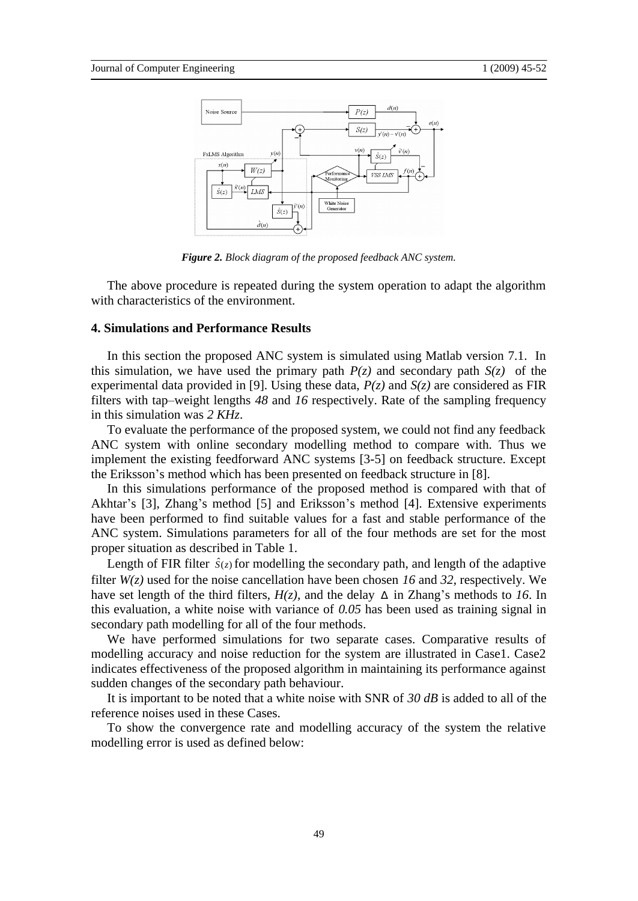

*Figure 2. Block diagram of the proposed feedback ANC system.* 

The above procedure is repeated during the system operation to adapt the algorithm with characteristics of the environment.

### **4. Simulations and Performance Results**

In this section the proposed ANC system is simulated using Matlab version 7.1. In this simulation, we have used the primary path  $P(z)$  and secondary path  $S(z)$  of the experimental data provided in [9]. Using these data,  $P(z)$  and  $S(z)$  are considered as FIR filters with tap–weight lengths *48* and *16* respectively. Rate of the sampling frequency in this simulation was *2 KHz*.

To evaluate the performance of the proposed system, we could not find any feedback ANC system with online secondary modelling method to compare with. Thus we implement the existing feedforward ANC systems [3-5] on feedback structure. Except the Eriksson's method which has been presented on feedback structure in [8].

In this simulations performance of the proposed method is compared with that of Akhtar's [3], Zhang's method [5] and Eriksson's method [4]. Extensive experiments have been performed to find suitable values for a fast and stable performance of the ANC system. Simulations parameters for all of the four methods are set for the most proper situation as described in Table 1.

Length of FIR filter  $\hat{S}(z)$  for modelling the secondary path, and length of the adaptive filter *W(z)* used for the noise cancellation have been chosen *16* and *32*, respectively. We have set length of the third filters,  $H(z)$ , and the delay  $\Delta$  in Zhang's methods to *16*. In this evaluation, a white noise with variance of *0.05* has been used as training signal in secondary path modelling for all of the four methods.

We have performed simulations for two separate cases. Comparative results of modelling accuracy and noise reduction for the system are illustrated in Case1. Case2 indicates effectiveness of the proposed algorithm in maintaining its performance against sudden changes of the secondary path behaviour.

It is important to be noted that a white noise with SNR of *30 dB* is added to all of the reference noises used in these Cases.

To show the convergence rate and modelling accuracy of the system the relative modelling error is used as defined below: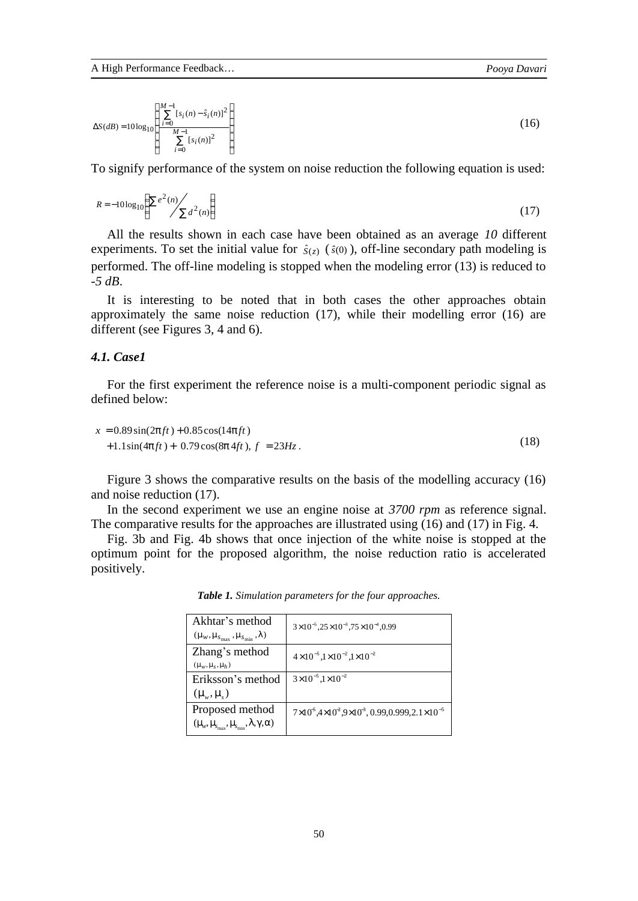$$
\Delta S(dB) = 10 \log_{10} \left\{ \frac{\sum_{i=0}^{M-1} [s_i(n) - \hat{s}_i(n)]^2}{\sum_{i=0}^{M-1} [s_i(n)]^2} \right\}
$$
(16)

To signify performance of the system on noise reduction the following equation is used:

$$
R = -10\log_{10}\left(\frac{\sum e^2(n)}{\sum d^2(n)}\right) \tag{17}
$$

All the results shown in each case have been obtained as an average *10* different experiments. To set the initial value for  $\hat{s}(z)$  ( $\hat{s}(0)$ ), off-line secondary path modeling is performed. The off-line modeling is stopped when the modeling error (13) is reduced to *-5 dB*.

It is interesting to be noted that in both cases the other approaches obtain approximately the same noise reduction (17), while their modelling error (16) are different (see Figures 3, 4 and 6).

## *4.1. Case1*

For the first experiment the reference noise is a multi-component periodic signal as defined below:

$$
x = 0.89\sin(2pft) + 0.85\cos(14pft) + 1.1\sin(4pft) + 0.79\cos(8pft), f = 23Hz.
$$
 (18)

Figure 3 shows the comparative results on the basis of the modelling accuracy (16) and noise reduction (17).

In the second experiment we use an engine noise at *3700 rpm* as reference signal. The comparative results for the approaches are illustrated using (16) and (17) in Fig. 4.

Fig. 3b and Fig. 4b shows that once injection of the white noise is stopped at the optimum point for the proposed algorithm, the noise reduction ratio is accelerated positively.

| Akhtar's method<br>$(m_w, m_{S_{\text{max}}}, m_{S_{\text{min}}}, l)$ | $3\times10^{-5}$ , $25\times10^{-3}$ , $75\times10^{-4}$ , 0.99           |
|-----------------------------------------------------------------------|---------------------------------------------------------------------------|
| Zhang's method<br>$(m_w, m_s, m_h)$                                   | $4 \times 10^{-5}$ , $1 \times 10^{-2}$ , $1 \times 10^{-2}$              |
| Eriksson's method                                                     | $3\times10^{-5}$ , $1\times10^{-2}$                                       |
| $(m_{\scriptscriptstyle w}, m_{\scriptscriptstyle s})$                |                                                                           |
| Proposed method                                                       | $7 \times 10^5,4 \times 10^2,9 \times 10^3,0.99,0.999,2.1 \times 10^{-5}$ |
| $(m_{w}, m_{s_{\rm max}}, m_{s_{\rm min}}, 1, g, a)$                  |                                                                           |

*Table 1. Simulation parameters for the four approaches.*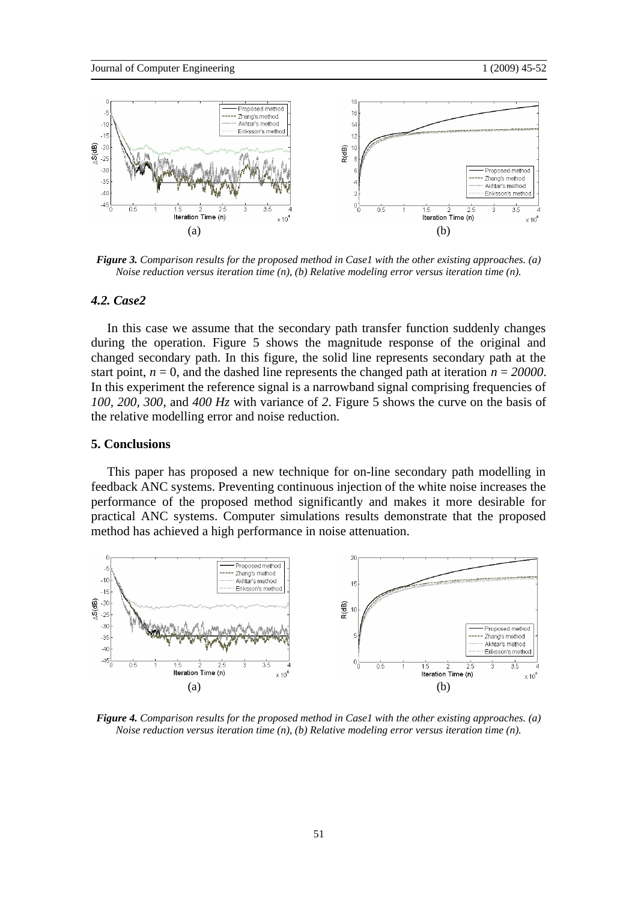

*Figure 3. Comparison results for the proposed method in Case1 with the other existing approaches. (a) Noise reduction versus iteration time (n), (b) Relative modeling error versus iteration time (n).* 

## *4.2. Case2*

In this case we assume that the secondary path transfer function suddenly changes during the operation. Figure 5 shows the magnitude response of the original and changed secondary path. In this figure, the solid line represents secondary path at the start point,  $n = 0$ , and the dashed line represents the changed path at iteration  $n = 20000$ . In this experiment the reference signal is a narrowband signal comprising frequencies of *100, 200, 300*, and *400 Hz* with variance of *2*. Figure 5 shows the curve on the basis of the relative modelling error and noise reduction.

### **5. Conclusions**

This paper has proposed a new technique for on-line secondary path modelling in feedback ANC systems. Preventing continuous injection of the white noise increases the performance of the proposed method significantly and makes it more desirable for practical ANC systems. Computer simulations results demonstrate that the proposed method has achieved a high performance in noise attenuation.



*Figure 4. Comparison results for the proposed method in Case1 with the other existing approaches. (a) Noise reduction versus iteration time (n), (b) Relative modeling error versus iteration time (n).*